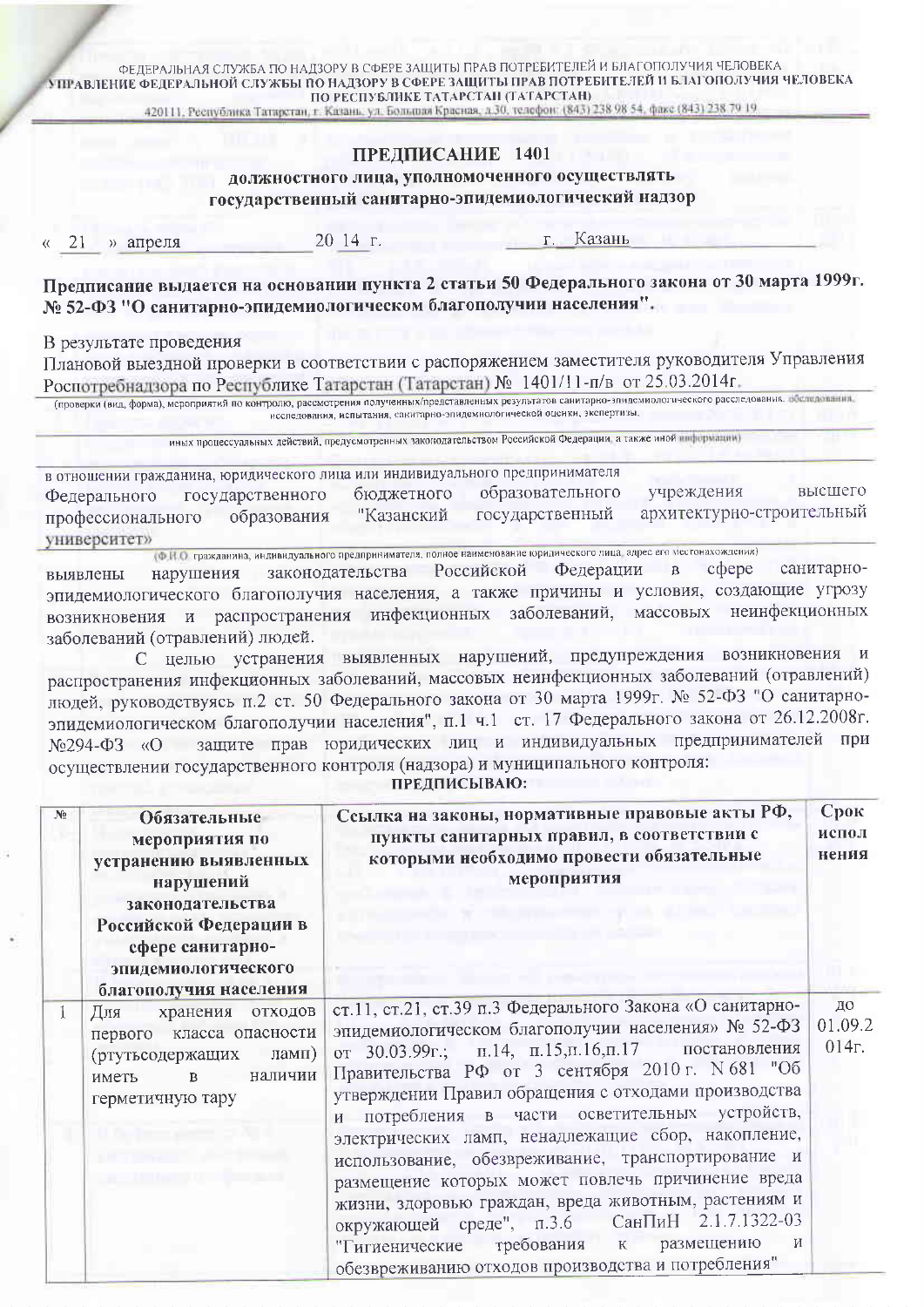ФЕДЕРАЛЬНАЯ СЛУЖБА ПО НАДЗОРУ В СФЕРЕ ЗАЩИТЫ ПРАВ ПОТРЕБИТЕЛЕЙ И БЛАГОПОЛУЧИЯ ЧЕЛОВЕКА **УПРАВЛЕНИЕ ФЕДЕРАЛЬНОЙ СЛУЖБЫ ПО НАДЗОРУ В СФЕРЕ ЗАЩИТЫ ПРАВ ПОТРЕБИТЕЛЕЙ И БЛАГОПОЛУЧИЯ ЧЕЛОВЕКА** ПО РЕСПУБЛИКЕ ТАТАРСТАН (ТАТАРСТАН)

420111, Республика Татирстан, г. Казань, ул. Большая Красная, д.30, телофон: (843) 238 98 54, факс (843) 238 70 19

## ПРЕЛПИСАНИЕ 1401

должностного лица, уполномоченного осуществлять государственный санитарно-эпидемиологический надзор

» апреля 21

20 14 г.

Казань  $\Gamma$ 

Предписание выдается на основании пункта 2 статьи 50 Федерального закона от 30 марта 1999г. № 52-ФЗ "О санитарно-эпидемиологическом благополучии населения".

В результате проведения

Плановой выездной проверки в соответствии с распоряжением заместителя руководителя Управления Роспотребнадзора по Республике Татарстан (Татарстан) № 1401/11-п/в от 25.03.2014г.

(проверки (вид, форма), мероприятий по контролю, рассмотрения полученных/представленных результатов санитарно-эпидемиологического расследования, восположения, исследования, испытания, санитарно-эпидемиологической оценки, экспертизы,

иных процессуальных действий, предусмотренных законодательством Российской Федерации а также иной информации)

в отношении гражданина, юридического лица или индивидуального предпринимателя образовательного учреждения высшего бюджетного Федерального государственного архитектурно-строительный "Казанский государственный образования профессионального университет»

(ФИО гражданина, индивидуального предпринимателя, полное наименование юридического лица, адрес его местонахождения) санитарноcoepe законодательства Российской Федерации  $\overline{\mathbf{B}}$ нарушения выявлены эпидемиологического благополучия населения, а также причины и условия, создающие угрозу возникновения и распространения инфекционных заболеваний, массовых неинфекционных заболеваний (отравлений) людей.

С целью устранения выявленных нарушений, предупреждения возникновения и распространения инфекционных заболеваний, массовых неинфекционных заболеваний (отравлений) людей, руководствуясь п.2 ст. 50 Федерального закона от 30 марта 1999г. № 52-ФЗ "О санитарноэпидемиологическом благополучии населения", п.1 ч.1 ст. 17 Федерального закона от 26.12.2008г. защите прав юридических лиц и индивидуальных предпринимателей при No294-ФЗ «О осуществлении государственного контроля (надзора) и муниципального контроля:

**ПРЕДПИСЫВАЮ:** 

| $N_2$ | Обязательные<br>мероприятия по<br>устранению выявленных<br>нарушений<br>законодательства<br>Российской Федерации в<br>сфере санитарно-<br>эпидемиологического<br>благополучия населения | Ссылка на законы, нормативные правовые акты РФ,<br>пункты санитарных правил, в соответствии с<br>которыми необходимо провести обязательные<br>мероприятия                                                                                                                                                                                                                                                                                                                                                                                                                                                                                                                                                              | Срок<br>испол<br>нения |
|-------|-----------------------------------------------------------------------------------------------------------------------------------------------------------------------------------------|------------------------------------------------------------------------------------------------------------------------------------------------------------------------------------------------------------------------------------------------------------------------------------------------------------------------------------------------------------------------------------------------------------------------------------------------------------------------------------------------------------------------------------------------------------------------------------------------------------------------------------------------------------------------------------------------------------------------|------------------------|
|       | хранения отходов<br>Для<br>класса опасности<br>первого<br>(ртутьсодержащих<br>ламп)<br>наличии<br>иметь<br>$\mathbf{B}$<br>герметичную тару                                             | ст.11, ст.21, ст.39 п.3 Федерального Закона «О санитарно-<br>эпидемиологическом благополучии населения» № 52-ФЗ<br>от 30.03.99г.; п.14, п.15, п.16, п.17 постановления<br>Правительства РФ от 3 сентября 2010 г. N 681 "Об<br>утверждении Правил обращения с отходами производства<br>и потребления в части осветительных устройств,<br>электрических ламп, ненадлежащие сбор, накопление,<br>использование, обезвреживание, транспортирование и<br>размещение которых может повлечь причинение вреда<br>жизни, здоровью граждан, вреда животным, растениям и<br>окружающей среде", п.3.6 СанПиН 2.1.7.1322-03<br>требования к размещению<br>И<br>"Гигиенические<br>обезвреживанию отходов производства и потребления" | до<br>01.09.2<br>014r. |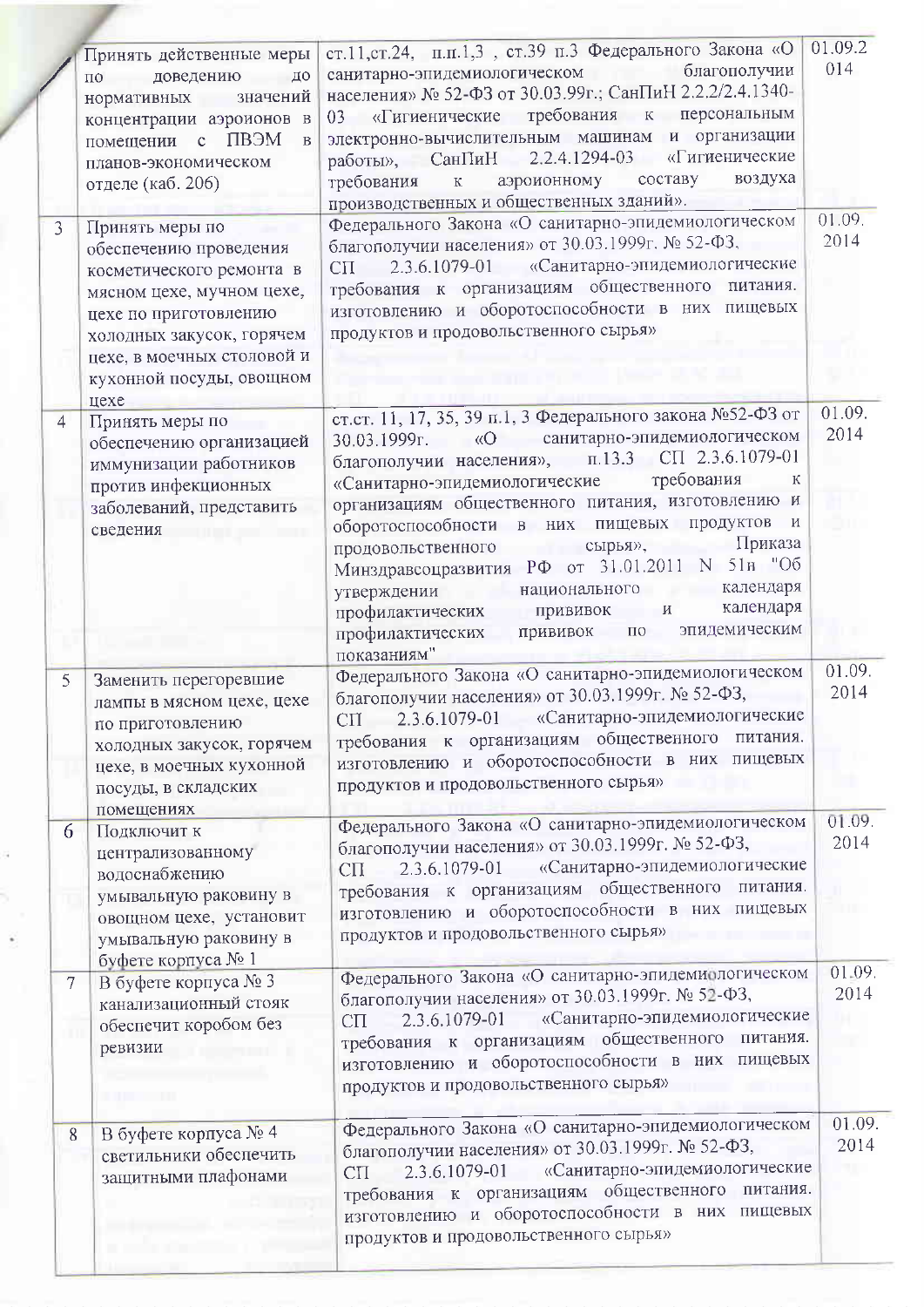|                         |                                                                                                                                                                                                                            |                                                                                                                                                                                                                                                                                                                                                                                                                                                                                                                                                                                                                    | 01.09.2              |
|-------------------------|----------------------------------------------------------------------------------------------------------------------------------------------------------------------------------------------------------------------------|--------------------------------------------------------------------------------------------------------------------------------------------------------------------------------------------------------------------------------------------------------------------------------------------------------------------------------------------------------------------------------------------------------------------------------------------------------------------------------------------------------------------------------------------------------------------------------------------------------------------|----------------------|
|                         | Принять действенные меры<br>доведению<br>ДО<br>$\Pi$ <sup>O</sup><br>значений<br>нормативных<br>концентрации аэроионов в<br>ПВЭМ<br>помещении<br>$\mathbf{C}$<br>$\, {\bf B}$<br>планов-экономическом<br>отделе (каб. 206) | ст.11,ст.24, п.п.1,3, ст.39 п.3 Федерального Закона «О<br>благополучии<br>санитарно-эпидемиологическом<br>населения» № 52-ФЗ от 30.03.99г.; СанПиН 2.2.2/2.4.1340-<br>требования к персональным<br>03 «Гигиенические<br>электронно-вычислительным машинам и организации<br>«Гигиенические<br>2.2.4.1294-03<br>работы», СанПиН<br>- составу<br>воздуха<br>аэроионному<br>требования<br>$\mathbf K$<br>производственных и общественных зданий».                                                                                                                                                                      | 014                  |
| $\overline{\mathbf{3}}$ | Принять меры по<br>обеспечению проведения<br>косметического ремонта в<br>мясном цехе, мучном цехе,<br>цехе по приготовлению<br>холодных закусок, горячем<br>цехе, в моечных столовой и<br>кухонной посуды, овощном<br>цехе | Федерального Закона «О санитарно-эпидемиологическом<br>благополучии населения» от 30.03.1999г. № 52-ФЗ,<br>2.3.6.1079-01 «Санитарно-эпидемиологические<br>$\rm C \Pi$<br>требования к организациям общественного питания.<br>изготовлению и оборотоспособности в них пищевых<br>продуктов и продовольственного сырья»                                                                                                                                                                                                                                                                                              | 01.09.<br>2014       |
| $\overline{4}$          | Принять меры по<br>обеспечению организацией<br>иммунизации работников<br>против инфекционных<br>заболеваний, представить<br>сведения                                                                                       | ст. ст. 11, 17, 35, 39 п.1, 3 Федерального закона №52-ФЗ от<br>30.03.1999г. «О санитарно-эпидемиологическом<br>благополучии населения», п.13.3 СП 2.3.6.1079-01<br>требования<br>К<br>«Санитарно-эпидемиологические<br>организациям общественного питания, изготовлению и<br>оборотоспособности в них пищевых продуктов<br>$\mathbf{M}$<br>Приказа<br>сырья»,<br>продовольственного<br>--<br>Минздравсоцразвития РФ от 31.01.2011 N 51н "Об<br>календаря<br>национального<br>an an A<br>утверждении<br>календаря<br>профилактических прививок и<br>эпидемическим<br>прививок по<br>профилактических<br>показаниям" | 01.09.<br>2014       |
| $\overline{5}$          | Заменить перегоревшие<br>лампы в мясном цехе, цехе<br>по приготовлению<br>холодных закусок, горячем<br>цехе, в моечных кухонной<br>посуды, в складских<br>помещениях                                                       | Федерального Закона «О санитарно-эпидемиологическом<br>благополучии населения» от 30.03.1999г. № 52-ФЗ,<br>2.3.6.1079-01 «Санитарно-эпидемиологические<br>$C\Pi$<br>требования к организациям общественного питания.<br>изготовлению и оборотоспособности в них пищевых<br>продуктов и продовольственного сырья»                                                                                                                                                                                                                                                                                                   | 01.09.<br>2014       |
| 6                       | Подключит к<br>централизованному<br>водоснабжению<br>умывальную раковину в<br>овощном цехе, установит<br>умывальную раковину в<br>буфете корпуса № 1                                                                       | Федерального Закона «О санитарно-эпидемиологическом<br>благополучии населения» от 30.03.1999г. № 52-ФЗ,<br>«Санитарно-эпидемиологические<br>2.3.6.1079-01<br>$C\Pi$<br>требования к организациям общественного питания.<br>изготовлению и оборотоспособности в них пищевых<br>продуктов и продовольственного сырья»                                                                                                                                                                                                                                                                                                | 01.09.<br>2014       |
| 7                       | В буфете корпуса № 3<br>канализационный стояк<br>обеспечит коробом без<br>ревизии                                                                                                                                          | Федерального Закона «О санитарно-эпидемиологическом<br>благополучии населения» от 30.03.1999г. № 52-ФЗ,<br>«Санитарно-эпидемиологические<br>2.3.6.1079-01<br>$C\Pi$<br>требования к организациям общественного питания.<br>изготовлению и оборотоспособности в них пищевых<br>продуктов и продовольственного сырья»                                                                                                                                                                                                                                                                                                | 01.09.<br>2014<br>٠r |
| 8                       | В буфете корпуса № 4<br>светильники обеспечить<br>защитными плафонами                                                                                                                                                      | Федерального Закона «О санитарно-эпидемиологическом<br>благополучии населения» от 30.03.1999г. № 52-ФЗ,<br>«Санитарно-эпидемиологические<br>2.3.6.1079-01<br>$C\Pi$<br>требования к организациям общественного питания.<br>изготовлению и оборотоспособности в них пищевых<br>продуктов и продовольственного сырья»                                                                                                                                                                                                                                                                                                | 01.09.<br>2014       |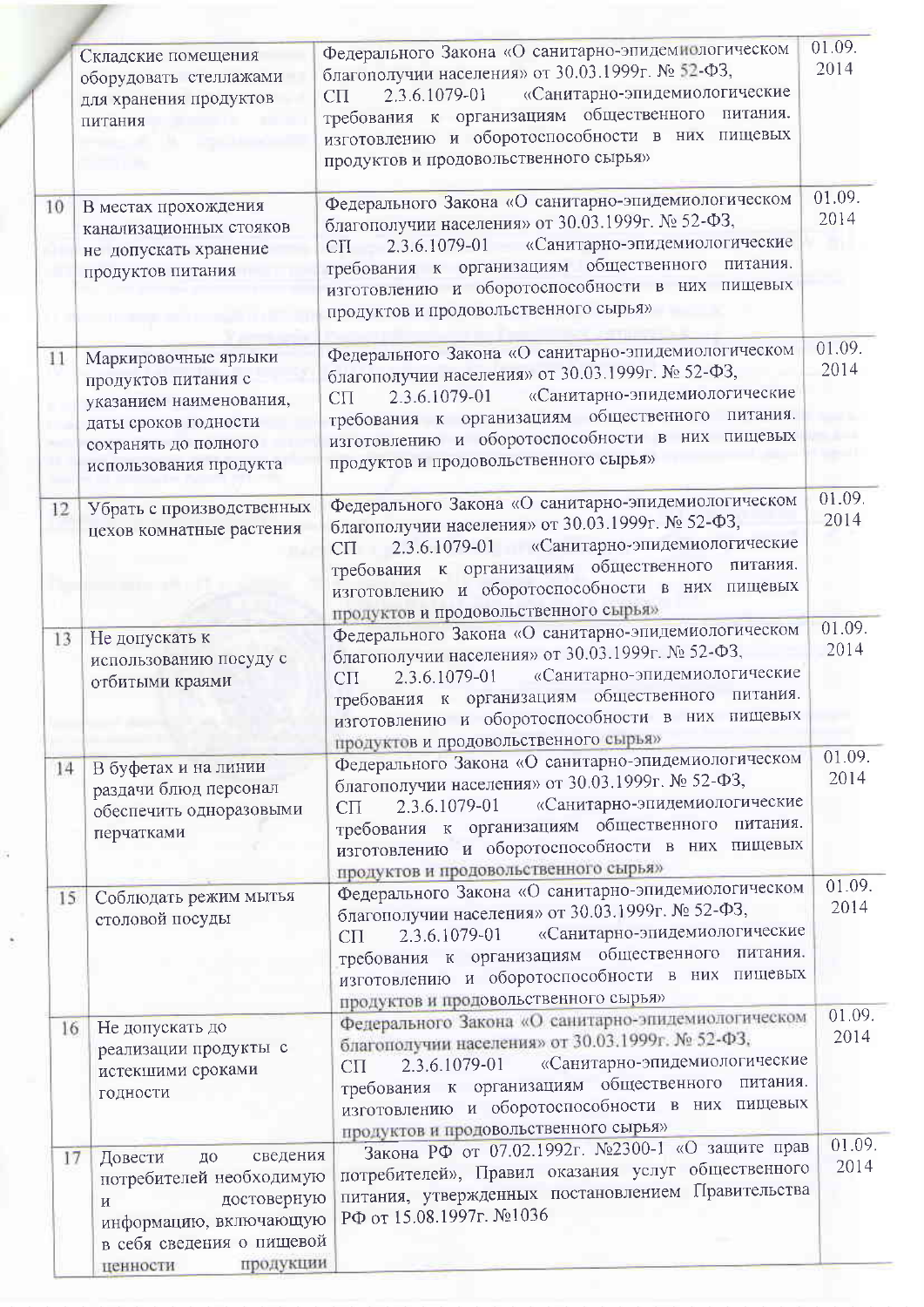|    |                                                                                                                                                                                 | Федерального Закона «О санитарно-эпидемиологическом                                                                                                                                                                                                                                                                  | 01.09.         |
|----|---------------------------------------------------------------------------------------------------------------------------------------------------------------------------------|----------------------------------------------------------------------------------------------------------------------------------------------------------------------------------------------------------------------------------------------------------------------------------------------------------------------|----------------|
|    | Складские помещения<br>оборудовать стеллажами<br>для хранения продуктов<br>питания                                                                                              | благополучии населения» от 30.03.1999г. № 52-ФЗ,<br>2.3.6.1079-01 «Санитарно-эпидемиологические<br>$C\Pi$<br>требования к организациям общественного питания.<br>изготовлению и оборотоспособности в них пищевых<br>продуктов и продовольственного сырья»                                                            | 2014           |
| 10 | В местах прохождения<br>канализационных стояков<br>не допускать хранение<br>продуктов питания                                                                                   | Федерального Закона «О санитарно-эпидемиологическом<br>благополучии населения» от 30.03.1999г. № 52-ФЗ,<br>2.3.6.1079-01 «Санитарно-эпидемиологические<br><b>CII</b><br>требования к организациям общественного питания.<br>изготовлению и оборотоспособности в них пищевых<br>продуктов и продовольственного сырья» | 01.09.<br>2014 |
| 11 | Маркировочные ярлыки<br>продуктов питания с<br>указанием наименования,<br>даты сроков годности<br>сохранять до полного<br>использования продукта                                | Федерального Закона «О санитарно-эпидемиологическом<br>благополучии населения» от 30.03.1999г. № 52-ФЗ,<br>«Санитарно-эпидемиологические<br>2.3.6.1079-01<br>$C\Pi$<br>требования к организациям общественного питания.<br>изготовлению и оборотоспособности в них пищевых<br>продуктов и продовольственного сырья»  | 01.09.<br>2014 |
| 12 | Убрать с производственных<br>цехов комнатные растения                                                                                                                           | Федерального Закона «О санитарно-эпидемиологическом<br>благополучии населения» от 30.03.1999г. № 52-ФЗ,<br>2.3.6.1079-01 «Санитарно-эпидемиологические<br>CП<br>требования к организациям общественного питания.<br>изготовлению и оборотоспособности в них пищевых<br>продуктов и продовольственного сырья»         | 01.09.<br>2014 |
| 13 | Не допускать к<br>использованию посуду с<br>отбитыми краями                                                                                                                     | Федерального Закона «О санитарно-эпидемиологическом<br>благополучии населения» от 30.03.1999г. № 52-ФЗ,<br>«Санитарно-эпидемиологические<br>2.3.6.1079-01<br>$C\Pi$<br>требования к организациям общественного питания.<br>изготовлению и оборотоспособности в них пищевых<br>продуктов и продовольственного сырья»  | 01.09.<br>2014 |
| 14 | В буфетах и на линии<br>раздачи блюд персонал<br>обеспечить одноразовыми<br>перчатками                                                                                          | Федерального Закона «О санитарно-эпидемиологическом<br>благополучии населения» от 30.03.1999г. № 52-ФЗ,<br>2.3.6.1079-01 «Санитарно-эпидемиологические<br>$C\Pi$<br>требования к организациям общественного питания.<br>изготовлению и оборотоспособности в них пищевых<br>продуктов и продовольственного сырья»     | 01.09.<br>2014 |
| 15 | Соблюдать режим мытья<br>столовой посуды                                                                                                                                        | Федерального Закона «О санитарно-эпидемиологическом<br>благополучии населения» от 30.03.1999г. № 52-ФЗ,<br>2.3.6.1079-01 «Санитарно-эпидемиологические<br>$C\Pi$<br>требования к организациям общественного питания.<br>изготовлению и оборотоспособности в них пищевых<br>продуктов и продовольственного сырья»     | 01.09.<br>2014 |
| 16 | Не допускать до<br>реализации продукты с<br>истекшими сроками<br>годности                                                                                                       | Федерального Закона «О санитарно-эпидемиологическом<br>благополучии населения» от 30.03.1999г. № 52-ФЗ,<br>2.3.6.1079-01 «Санитарно-эпидемиологические<br>$C\Pi$<br>требования к организациям общественного питания.<br>изготовлению и оборотоспособности в них пищевых<br>продуктов и продовольственного сырья»     | 01.09.<br>2014 |
| 17 | сведения<br>Довести<br>до<br>потребителей необходимую<br>достоверную<br>$\overline{\mathbf{M}}$<br>информацию, включающую<br>в себя сведения о пищевой<br>продукции<br>ненности | Закона РФ от 07.02.1992г. №2300-1 «О защите прав<br>потребителей», Правил оказания услуг общественного<br>питания, утвержденных постановлением Правительства<br>РФ от 15.08.1997г. №1036                                                                                                                             | 01.09.<br>2014 |